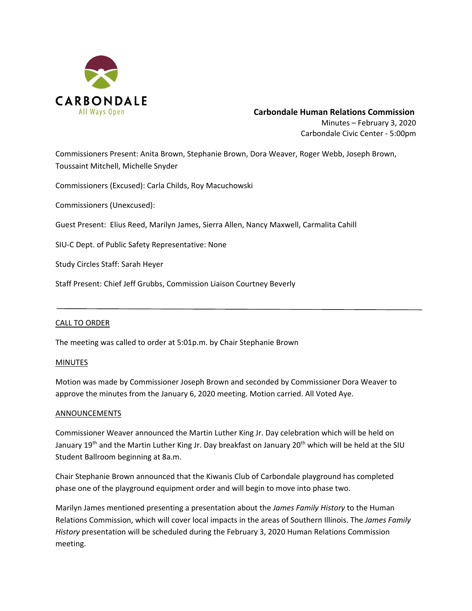

# **Carbondale Human Relations Commission**

Minutes – February 3, 2020 Carbondale Civic Center ‐ 5:00pm

Commissioners Present: Anita Brown, Stephanie Brown, Dora Weaver, Roger Webb, Joseph Brown, Toussaint Mitchell, Michelle Snyder

Commissioners (Excused): Carla Childs, Roy Macuchowski

Commissioners (Unexcused):

Guest Present: Elius Reed, Marilyn James, Sierra Allen, Nancy Maxwell, Carmalita Cahill

SIU‐C Dept. of Public Safety Representative: None

Study Circles Staff: Sarah Heyer

Staff Present: Chief Jeff Grubbs, Commission Liaison Courtney Beverly

# CALL TO ORDER

The meeting was called to order at 5:01p.m. by Chair Stephanie Brown

#### **MINUTES**

Motion was made by Commissioner Joseph Brown and seconded by Commissioner Dora Weaver to approve the minutes from the January 6, 2020 meeting. Motion carried. All Voted Aye.

# ANNOUNCEMENTS

Commissioner Weaver announced the Martin Luther King Jr. Day celebration which will be held on January 19<sup>th</sup> and the Martin Luther King Jr. Day breakfast on January 20<sup>th</sup> which will be held at the SIU Student Ballroom beginning at 8a.m.

Chair Stephanie Brown announced that the Kiwanis Club of Carbondale playground has completed phase one of the playground equipment order and will begin to move into phase two.

Marilyn James mentioned presenting a presentation about the *James Family History* to the Human Relations Commission, which will cover local impacts in the areas of Southern Illinois. The *James Family History* presentation will be scheduled during the February 3, 2020 Human Relations Commission meeting.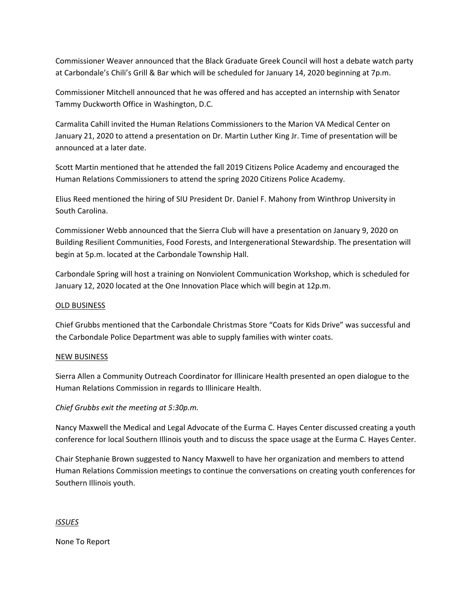Commissioner Weaver announced that the Black Graduate Greek Council will host a debate watch party at Carbondale's Chili's Grill & Bar which will be scheduled for January 14, 2020 beginning at 7p.m.

Commissioner Mitchell announced that he was offered and has accepted an internship with Senator Tammy Duckworth Office in Washington, D.C.

Carmalita Cahill invited the Human Relations Commissioners to the Marion VA Medical Center on January 21, 2020 to attend a presentation on Dr. Martin Luther King Jr. Time of presentation will be announced at a later date.

Scott Martin mentioned that he attended the fall 2019 Citizens Police Academy and encouraged the Human Relations Commissioners to attend the spring 2020 Citizens Police Academy.

Elius Reed mentioned the hiring of SIU President Dr. Daniel F. Mahony from Winthrop University in South Carolina.

Commissioner Webb announced that the Sierra Club will have a presentation on January 9, 2020 on Building Resilient Communities, Food Forests, and Intergenerational Stewardship. The presentation will begin at 5p.m. located at the Carbondale Township Hall.

Carbondale Spring will host a training on Nonviolent Communication Workshop, which is scheduled for January 12, 2020 located at the One Innovation Place which will begin at 12p.m.

# OLD BUSINESS

Chief Grubbs mentioned that the Carbondale Christmas Store "Coats for Kids Drive" was successful and the Carbondale Police Department was able to supply families with winter coats.

# NEW BUSINESS

Sierra Allen a Community Outreach Coordinator for Illinicare Health presented an open dialogue to the Human Relations Commission in regards to Illinicare Health.

# *Chief Grubbs exit the meeting at 5:30p.m.*

Nancy Maxwell the Medical and Legal Advocate of the Eurma C. Hayes Center discussed creating a youth conference for local Southern Illinois youth and to discuss the space usage at the Eurma C. Hayes Center.

Chair Stephanie Brown suggested to Nancy Maxwell to have her organization and members to attend Human Relations Commission meetings to continue the conversations on creating youth conferences for Southern Illinois youth.

# *ISSUES*

None To Report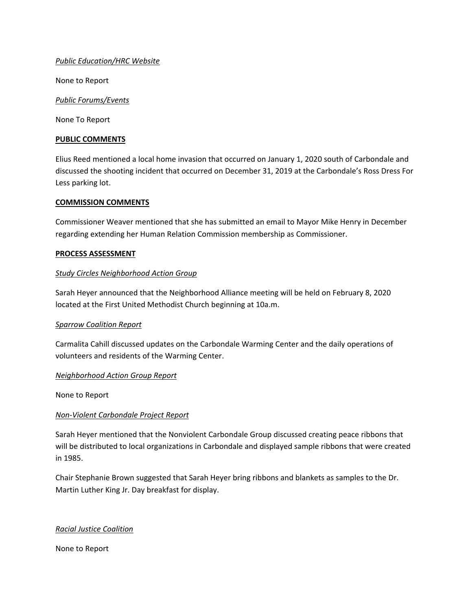# *Public Education/HRC Website*

None to Report

# *Public Forums/Events*

None To Report

#### **PUBLIC COMMENTS**

Elius Reed mentioned a local home invasion that occurred on January 1, 2020 south of Carbondale and discussed the shooting incident that occurred on December 31, 2019 at the Carbondale's Ross Dress For Less parking lot.

# **COMMISSION COMMENTS**

Commissioner Weaver mentioned that she has submitted an email to Mayor Mike Henry in December regarding extending her Human Relation Commission membership as Commissioner.

# **PROCESS ASSESSMENT**

# *Study Circles Neighborhood Action Group*

Sarah Heyer announced that the Neighborhood Alliance meeting will be held on February 8, 2020 located at the First United Methodist Church beginning at 10a.m.

#### *Sparrow Coalition Report*

Carmalita Cahill discussed updates on the Carbondale Warming Center and the daily operations of volunteers and residents of the Warming Center.

#### *Neighborhood Action Group Report*

None to Report

# *Non‐Violent Carbondale Project Report*

Sarah Heyer mentioned that the Nonviolent Carbondale Group discussed creating peace ribbons that will be distributed to local organizations in Carbondale and displayed sample ribbons that were created in 1985.

Chair Stephanie Brown suggested that Sarah Heyer bring ribbons and blankets as samples to the Dr. Martin Luther King Jr. Day breakfast for display.

# *Racial Justice Coalition*

None to Report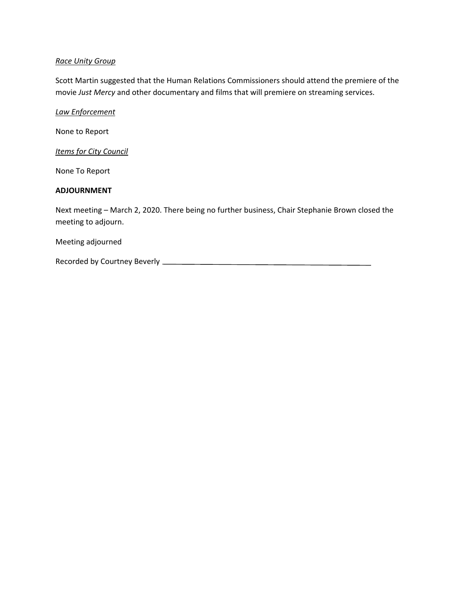# *Race Unity Group*

Scott Martin suggested that the Human Relations Commissioners should attend the premiere of the movie *Just Mercy* and other documentary and films that will premiere on streaming services.

*Law Enforcement* 

None to Report

*Items for City Council* 

None To Report

# **ADJOURNMENT**

Next meeting – March 2, 2020. There being no further business, Chair Stephanie Brown closed the meeting to adjourn.

Meeting adjourned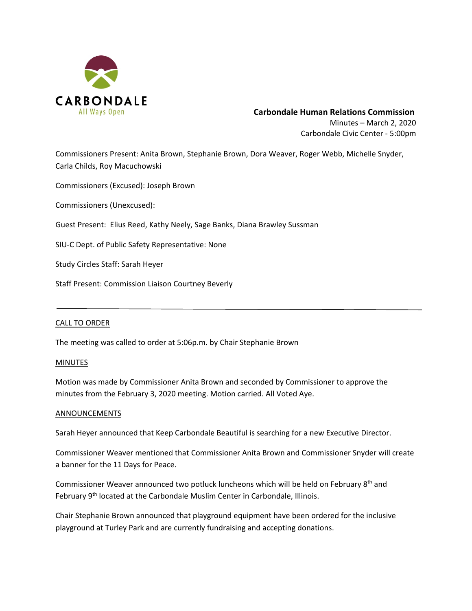

# **Carbondale Human Relations Commission** Minutes – March 2, 2020

Carbondale Civic Center ‐ 5:00pm

Commissioners Present: Anita Brown, Stephanie Brown, Dora Weaver, Roger Webb, Michelle Snyder, Carla Childs, Roy Macuchowski

Commissioners (Excused): Joseph Brown

Commissioners (Unexcused):

Guest Present: Elius Reed, Kathy Neely, Sage Banks, Diana Brawley Sussman

SIU‐C Dept. of Public Safety Representative: None

Study Circles Staff: Sarah Heyer

Staff Present: Commission Liaison Courtney Beverly

# CALL TO ORDER

The meeting was called to order at 5:06p.m. by Chair Stephanie Brown

#### **MINUTES**

Motion was made by Commissioner Anita Brown and seconded by Commissioner to approve the minutes from the February 3, 2020 meeting. Motion carried. All Voted Aye.

#### ANNOUNCEMENTS

Sarah Heyer announced that Keep Carbondale Beautiful is searching for a new Executive Director.

Commissioner Weaver mentioned that Commissioner Anita Brown and Commissioner Snyder will create a banner for the 11 Days for Peace.

Commissioner Weaver announced two potluck luncheons which will be held on February  $8<sup>th</sup>$  and February 9<sup>th</sup> located at the Carbondale Muslim Center in Carbondale, Illinois.

Chair Stephanie Brown announced that playground equipment have been ordered for the inclusive playground at Turley Park and are currently fundraising and accepting donations.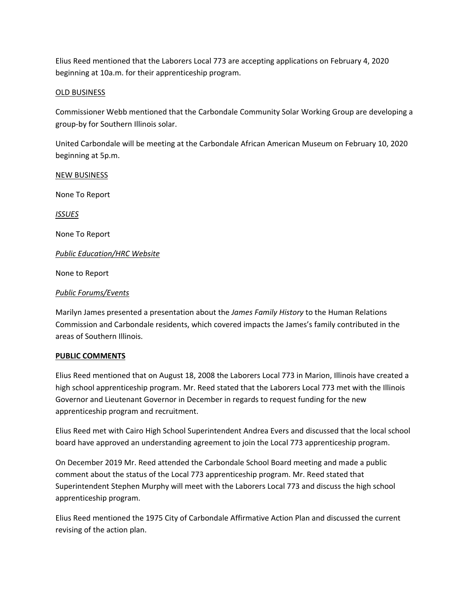Elius Reed mentioned that the Laborers Local 773 are accepting applications on February 4, 2020 beginning at 10a.m. for their apprenticeship program.

# OLD BUSINESS

Commissioner Webb mentioned that the Carbondale Community Solar Working Group are developing a group‐by for Southern Illinois solar.

United Carbondale will be meeting at the Carbondale African American Museum on February 10, 2020 beginning at 5p.m.

NEW BUSINESS None To Report *ISSUES*  None To Report *Public Education/HRC Website*  None to Report

# *Public Forums/Events*

Marilyn James presented a presentation about the *James Family History* to the Human Relations Commission and Carbondale residents, which covered impacts the James's family contributed in the areas of Southern Illinois.

# **PUBLIC COMMENTS**

Elius Reed mentioned that on August 18, 2008 the Laborers Local 773 in Marion, Illinois have created a high school apprenticeship program. Mr. Reed stated that the Laborers Local 773 met with the Illinois Governor and Lieutenant Governor in December in regards to request funding for the new apprenticeship program and recruitment.

Elius Reed met with Cairo High School Superintendent Andrea Evers and discussed that the local school board have approved an understanding agreement to join the Local 773 apprenticeship program.

On December 2019 Mr. Reed attended the Carbondale School Board meeting and made a public comment about the status of the Local 773 apprenticeship program. Mr. Reed stated that Superintendent Stephen Murphy will meet with the Laborers Local 773 and discuss the high school apprenticeship program.

Elius Reed mentioned the 1975 City of Carbondale Affirmative Action Plan and discussed the current revising of the action plan.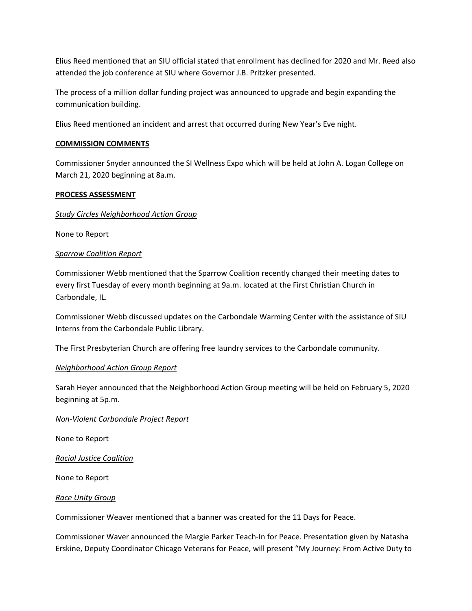Elius Reed mentioned that an SIU official stated that enrollment has declined for 2020 and Mr. Reed also attended the job conference at SIU where Governor J.B. Pritzker presented.

The process of a million dollar funding project was announced to upgrade and begin expanding the communication building.

Elius Reed mentioned an incident and arrest that occurred during New Year's Eve night.

# **COMMISSION COMMENTS**

Commissioner Snyder announced the SI Wellness Expo which will be held at John A. Logan College on March 21, 2020 beginning at 8a.m.

#### **PROCESS ASSESSMENT**

# *Study Circles Neighborhood Action Group*

None to Report

# *Sparrow Coalition Report*

Commissioner Webb mentioned that the Sparrow Coalition recently changed their meeting dates to every first Tuesday of every month beginning at 9a.m. located at the First Christian Church in Carbondale, IL.

Commissioner Webb discussed updates on the Carbondale Warming Center with the assistance of SIU Interns from the Carbondale Public Library.

The First Presbyterian Church are offering free laundry services to the Carbondale community.

#### *Neighborhood Action Group Report*

Sarah Heyer announced that the Neighborhood Action Group meeting will be held on February 5, 2020 beginning at 5p.m.

#### *Non‐Violent Carbondale Project Report*

None to Report

*Racial Justice Coalition*

None to Report

#### *Race Unity Group*

Commissioner Weaver mentioned that a banner was created for the 11 Days for Peace.

Commissioner Waver announced the Margie Parker Teach‐In for Peace. Presentation given by Natasha Erskine, Deputy Coordinator Chicago Veterans for Peace, will present "My Journey: From Active Duty to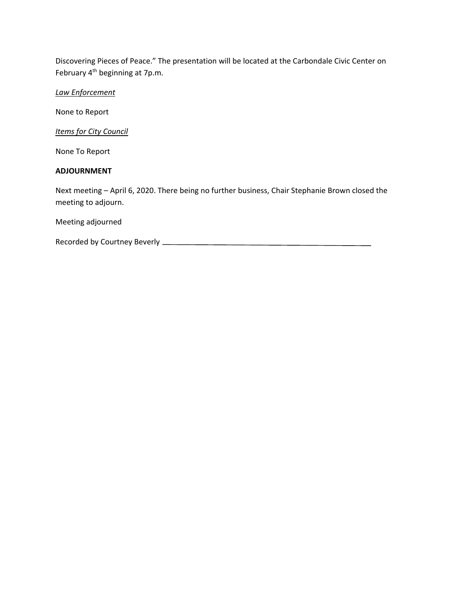Discovering Pieces of Peace." The presentation will be located at the Carbondale Civic Center on February 4<sup>th</sup> beginning at 7p.m.

*Law Enforcement* 

None to Report

*Items for City Council* 

None To Report

# **ADJOURNMENT**

Next meeting – April 6, 2020. There being no further business, Chair Stephanie Brown closed the meeting to adjourn.

Meeting adjourned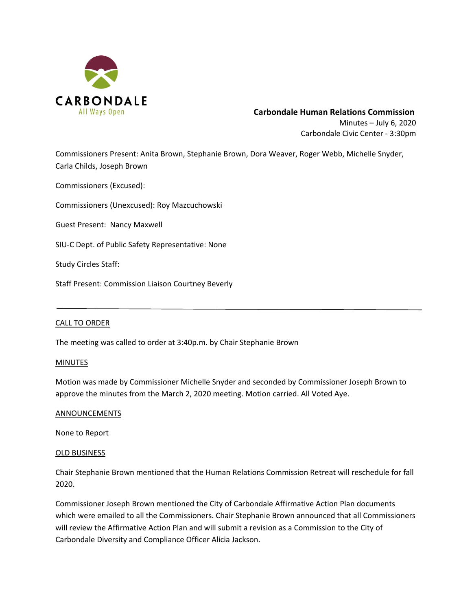

# **Carbondale Human Relations Commission** Minutes – July 6, 2020

Carbondale Civic Center ‐ 3:30pm

Commissioners Present: Anita Brown, Stephanie Brown, Dora Weaver, Roger Webb, Michelle Snyder, Carla Childs, Joseph Brown

Commissioners (Excused):

Commissioners (Unexcused): Roy Mazcuchowski

Guest Present: Nancy Maxwell

SIU‐C Dept. of Public Safety Representative: None

Study Circles Staff:

Staff Present: Commission Liaison Courtney Beverly

#### CALL TO ORDER

The meeting was called to order at 3:40p.m. by Chair Stephanie Brown

#### **MINUTES**

Motion was made by Commissioner Michelle Snyder and seconded by Commissioner Joseph Brown to approve the minutes from the March 2, 2020 meeting. Motion carried. All Voted Aye.

#### ANNOUNCEMENTS

None to Report

#### OLD BUSINESS

Chair Stephanie Brown mentioned that the Human Relations Commission Retreat will reschedule for fall 2020.

Commissioner Joseph Brown mentioned the City of Carbondale Affirmative Action Plan documents which were emailed to all the Commissioners. Chair Stephanie Brown announced that all Commissioners will review the Affirmative Action Plan and will submit a revision as a Commission to the City of Carbondale Diversity and Compliance Officer Alicia Jackson.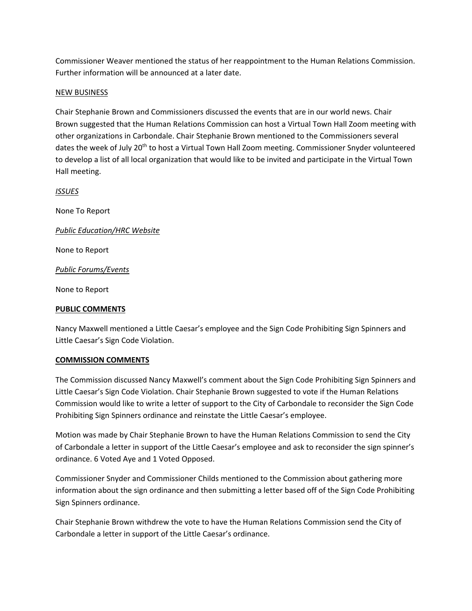Commissioner Weaver mentioned the status of her reappointment to the Human Relations Commission. Further information will be announced at a later date.

# NEW BUSINESS

Chair Stephanie Brown and Commissioners discussed the events that are in our world news. Chair Brown suggested that the Human Relations Commission can host a Virtual Town Hall Zoom meeting with other organizations in Carbondale. Chair Stephanie Brown mentioned to the Commissioners several dates the week of July 20<sup>th</sup> to host a Virtual Town Hall Zoom meeting. Commissioner Snyder volunteered to develop a list of all local organization that would like to be invited and participate in the Virtual Town Hall meeting.

*ISSUES* 

None To Report

*Public Education/HRC Website* 

None to Report

*Public Forums/Events* 

None to Report

# **PUBLIC COMMENTS**

Nancy Maxwell mentioned a Little Caesar's employee and the Sign Code Prohibiting Sign Spinners and Little Caesar's Sign Code Violation.

#### **COMMISSION COMMENTS**

The Commission discussed Nancy Maxwell's comment about the Sign Code Prohibiting Sign Spinners and Little Caesar's Sign Code Violation. Chair Stephanie Brown suggested to vote if the Human Relations Commission would like to write a letter of support to the City of Carbondale to reconsider the Sign Code Prohibiting Sign Spinners ordinance and reinstate the Little Caesar's employee.

Motion was made by Chair Stephanie Brown to have the Human Relations Commission to send the City of Carbondale a letter in support of the Little Caesar's employee and ask to reconsider the sign spinner's ordinance. 6 Voted Aye and 1 Voted Opposed.

Commissioner Snyder and Commissioner Childs mentioned to the Commission about gathering more information about the sign ordinance and then submitting a letter based off of the Sign Code Prohibiting Sign Spinners ordinance.

Chair Stephanie Brown withdrew the vote to have the Human Relations Commission send the City of Carbondale a letter in support of the Little Caesar's ordinance.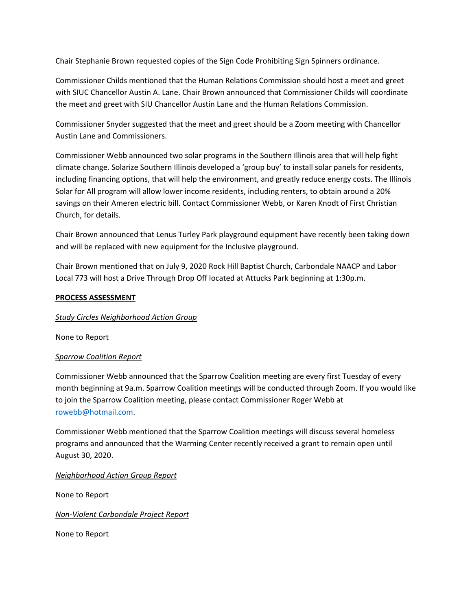Chair Stephanie Brown requested copies of the Sign Code Prohibiting Sign Spinners ordinance.

Commissioner Childs mentioned that the Human Relations Commission should host a meet and greet with SIUC Chancellor Austin A. Lane. Chair Brown announced that Commissioner Childs will coordinate the meet and greet with SIU Chancellor Austin Lane and the Human Relations Commission.

Commissioner Snyder suggested that the meet and greet should be a Zoom meeting with Chancellor Austin Lane and Commissioners.

Commissioner Webb announced two solar programs in the Southern Illinois area that will help fight climate change. Solarize Southern Illinois developed a 'group buy' to install solar panels for residents, including financing options, that will help the environment, and greatly reduce energy costs. The Illinois Solar for All program will allow lower income residents, including renters, to obtain around a 20% savings on their Ameren electric bill. Contact Commissioner Webb, or Karen Knodt of First Christian Church, for details.

Chair Brown announced that Lenus Turley Park playground equipment have recently been taking down and will be replaced with new equipment for the Inclusive playground.

Chair Brown mentioned that on July 9, 2020 Rock Hill Baptist Church, Carbondale NAACP and Labor Local 773 will host a Drive Through Drop Off located at Attucks Park beginning at 1:30p.m.

# **PROCESS ASSESSMENT**

# *Study Circles Neighborhood Action Group*

None to Report

# *Sparrow Coalition Report*

Commissioner Webb announced that the Sparrow Coalition meeting are every first Tuesday of every month beginning at 9a.m. Sparrow Coalition meetings will be conducted through Zoom. If you would like to join the Sparrow Coalition meeting, please contact Commissioner Roger Webb at rowebb@hotmail.com.

Commissioner Webb mentioned that the Sparrow Coalition meetings will discuss several homeless programs and announced that the Warming Center recently received a grant to remain open until August 30, 2020.

*Neighborhood Action Group Report*

None to Report

*Non‐Violent Carbondale Project Report* 

None to Report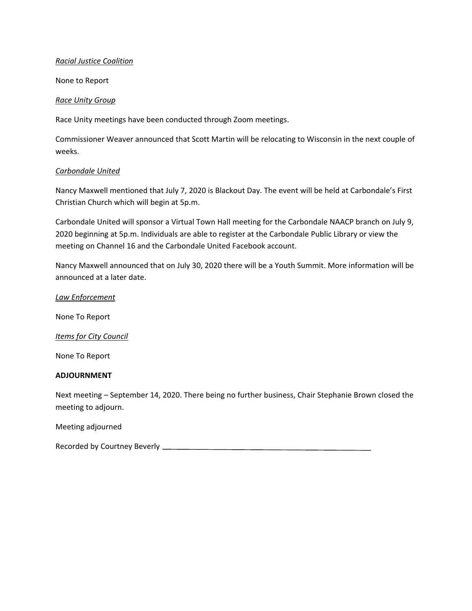# *Racial Justice Coalition*

None to Report

#### *Race Unity Group*

Race Unity meetings have been conducted through Zoom meetings.

Commissioner Weaver announced that Scott Martin will be relocating to Wisconsin in the next couple of weeks.

# *Carbondale United*

Nancy Maxwell mentioned that July 7, 2020 is Blackout Day. The event will be held at Carbondale's First Christian Church which will begin at 5p.m.

Carbondale United will sponsor a Virtual Town Hall meeting for the Carbondale NAACP branch on July 9, 2020 beginning at 5p.m. Individuals are able to register at the Carbondale Public Library or view the meeting on Channel 16 and the Carbondale United Facebook account.

Nancy Maxwell announced that on July 30, 2020 there will be a Youth Summit. More information will be announced at a later date.

# *Law Enforcement*

None To Report

# *Items for City Council*

None To Report

# **ADJOURNMENT**

Next meeting – September 14, 2020. There being no further business, Chair Stephanie Brown closed the meeting to adjourn.

Meeting adjourned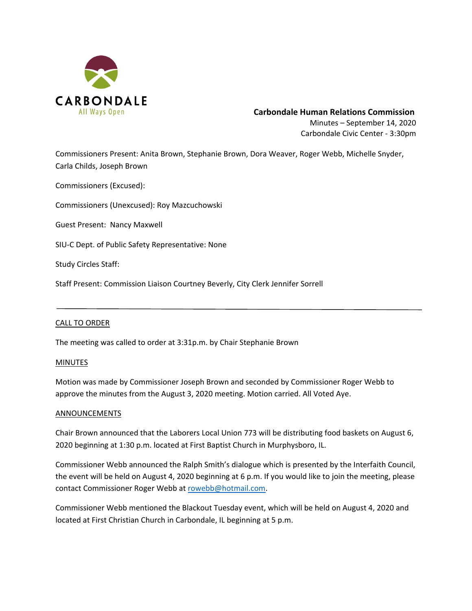

# **Carbondale Human Relations Commission**

Minutes – September 14, 2020 Carbondale Civic Center ‐ 3:30pm

Commissioners Present: Anita Brown, Stephanie Brown, Dora Weaver, Roger Webb, Michelle Snyder, Carla Childs, Joseph Brown

Commissioners (Excused):

Commissioners (Unexcused): Roy Mazcuchowski

Guest Present: Nancy Maxwell

SIU‐C Dept. of Public Safety Representative: None

Study Circles Staff:

Staff Present: Commission Liaison Courtney Beverly, City Clerk Jennifer Sorrell

#### CALL TO ORDER

The meeting was called to order at 3:31p.m. by Chair Stephanie Brown

#### **MINUTES**

Motion was made by Commissioner Joseph Brown and seconded by Commissioner Roger Webb to approve the minutes from the August 3, 2020 meeting. Motion carried. All Voted Aye.

#### ANNOUNCEMENTS

Chair Brown announced that the Laborers Local Union 773 will be distributing food baskets on August 6, 2020 beginning at 1:30 p.m. located at First Baptist Church in Murphysboro, IL.

Commissioner Webb announced the Ralph Smith's dialogue which is presented by the Interfaith Council, the event will be held on August 4, 2020 beginning at 6 p.m. If you would like to join the meeting, please contact Commissioner Roger Webb at rowebb@hotmail.com.

Commissioner Webb mentioned the Blackout Tuesday event, which will be held on August 4, 2020 and located at First Christian Church in Carbondale, IL beginning at 5 p.m.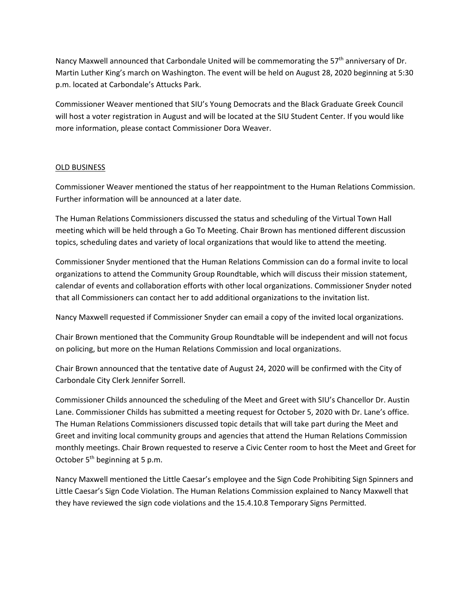Nancy Maxwell announced that Carbondale United will be commemorating the  $57<sup>th</sup>$  anniversary of Dr. Martin Luther King's march on Washington. The event will be held on August 28, 2020 beginning at 5:30 p.m. located at Carbondale's Attucks Park.

Commissioner Weaver mentioned that SIU's Young Democrats and the Black Graduate Greek Council will host a voter registration in August and will be located at the SIU Student Center. If you would like more information, please contact Commissioner Dora Weaver.

# OLD BUSINESS

Commissioner Weaver mentioned the status of her reappointment to the Human Relations Commission. Further information will be announced at a later date.

The Human Relations Commissioners discussed the status and scheduling of the Virtual Town Hall meeting which will be held through a Go To Meeting. Chair Brown has mentioned different discussion topics, scheduling dates and variety of local organizations that would like to attend the meeting.

Commissioner Snyder mentioned that the Human Relations Commission can do a formal invite to local organizations to attend the Community Group Roundtable, which will discuss their mission statement, calendar of events and collaboration efforts with other local organizations. Commissioner Snyder noted that all Commissioners can contact her to add additional organizations to the invitation list.

Nancy Maxwell requested if Commissioner Snyder can email a copy of the invited local organizations.

Chair Brown mentioned that the Community Group Roundtable will be independent and will not focus on policing, but more on the Human Relations Commission and local organizations.

Chair Brown announced that the tentative date of August 24, 2020 will be confirmed with the City of Carbondale City Clerk Jennifer Sorrell.

Commissioner Childs announced the scheduling of the Meet and Greet with SIU's Chancellor Dr. Austin Lane. Commissioner Childs has submitted a meeting request for October 5, 2020 with Dr. Lane's office. The Human Relations Commissioners discussed topic details that will take part during the Meet and Greet and inviting local community groups and agencies that attend the Human Relations Commission monthly meetings. Chair Brown requested to reserve a Civic Center room to host the Meet and Greet for October  $5<sup>th</sup>$  beginning at 5 p.m.

Nancy Maxwell mentioned the Little Caesar's employee and the Sign Code Prohibiting Sign Spinners and Little Caesar's Sign Code Violation. The Human Relations Commission explained to Nancy Maxwell that they have reviewed the sign code violations and the 15.4.10.8 Temporary Signs Permitted.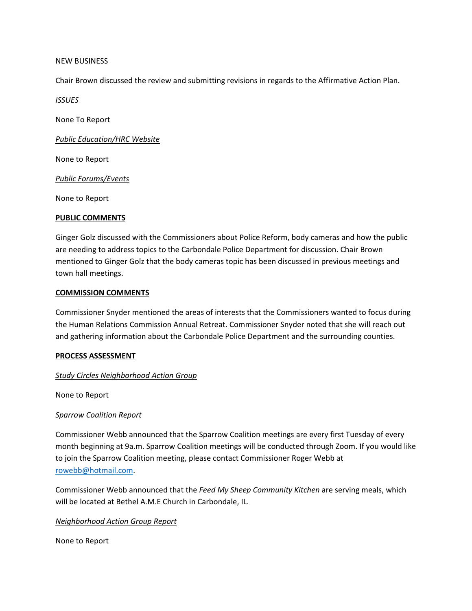#### NEW BUSINESS

Chair Brown discussed the review and submitting revisions in regards to the Affirmative Action Plan.

*ISSUES* 

None To Report

*Public Education/HRC Website* 

None to Report

*Public Forums/Events* 

None to Report

# **PUBLIC COMMENTS**

Ginger Golz discussed with the Commissioners about Police Reform, body cameras and how the public are needing to address topics to the Carbondale Police Department for discussion. Chair Brown mentioned to Ginger Golz that the body cameras topic has been discussed in previous meetings and town hall meetings.

# **COMMISSION COMMENTS**

Commissioner Snyder mentioned the areas of interests that the Commissioners wanted to focus during the Human Relations Commission Annual Retreat. Commissioner Snyder noted that she will reach out and gathering information about the Carbondale Police Department and the surrounding counties.

#### **PROCESS ASSESSMENT**

# *Study Circles Neighborhood Action Group*

None to Report

# *Sparrow Coalition Report*

Commissioner Webb announced that the Sparrow Coalition meetings are every first Tuesday of every month beginning at 9a.m. Sparrow Coalition meetings will be conducted through Zoom. If you would like to join the Sparrow Coalition meeting, please contact Commissioner Roger Webb at rowebb@hotmail.com.

Commissioner Webb announced that the *Feed My Sheep Community Kitchen* are serving meals, which will be located at Bethel A.M.E Church in Carbondale, IL.

*Neighborhood Action Group Report*

None to Report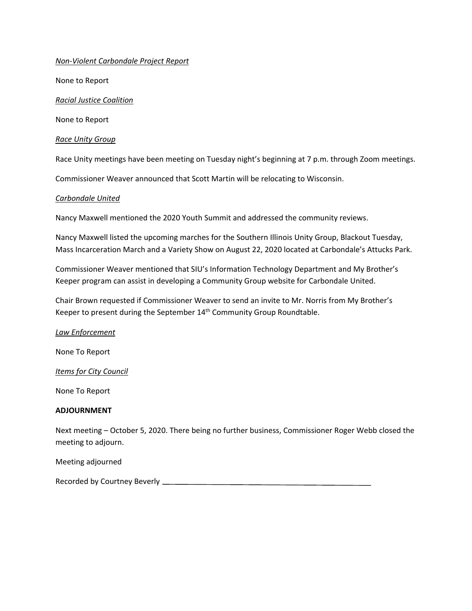# *Non‐Violent Carbondale Project Report*

None to Report

*Racial Justice Coalition*

None to Report

*Race Unity Group* 

Race Unity meetings have been meeting on Tuesday night's beginning at 7 p.m. through Zoom meetings.

Commissioner Weaver announced that Scott Martin will be relocating to Wisconsin.

#### *Carbondale United*

Nancy Maxwell mentioned the 2020 Youth Summit and addressed the community reviews.

Nancy Maxwell listed the upcoming marches for the Southern Illinois Unity Group, Blackout Tuesday, Mass Incarceration March and a Variety Show on August 22, 2020 located at Carbondale's Attucks Park.

Commissioner Weaver mentioned that SIU's Information Technology Department and My Brother's Keeper program can assist in developing a Community Group website for Carbondale United.

Chair Brown requested if Commissioner Weaver to send an invite to Mr. Norris from My Brother's Keeper to present during the September 14<sup>th</sup> Community Group Roundtable.

*Law Enforcement* 

None To Report

*Items for City Council* 

None To Report

#### **ADJOURNMENT**

Next meeting – October 5, 2020. There being no further business, Commissioner Roger Webb closed the meeting to adjourn.

Meeting adjourned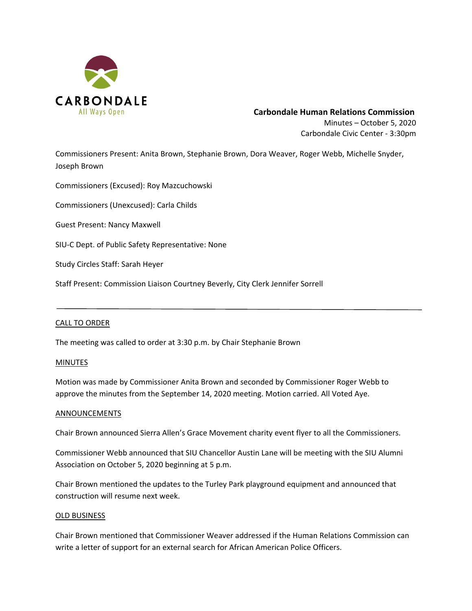

# **Carbondale Human Relations Commission** Minutes – October 5, 2020

Carbondale Civic Center ‐ 3:30pm

Commissioners Present: Anita Brown, Stephanie Brown, Dora Weaver, Roger Webb, Michelle Snyder, Joseph Brown

Commissioners (Excused): Roy Mazcuchowski

Commissioners (Unexcused): Carla Childs

Guest Present: Nancy Maxwell

SIU‐C Dept. of Public Safety Representative: None

Study Circles Staff: Sarah Heyer

Staff Present: Commission Liaison Courtney Beverly, City Clerk Jennifer Sorrell

#### CALL TO ORDER

The meeting was called to order at 3:30 p.m. by Chair Stephanie Brown

#### **MINUTES**

Motion was made by Commissioner Anita Brown and seconded by Commissioner Roger Webb to approve the minutes from the September 14, 2020 meeting. Motion carried. All Voted Aye.

#### ANNOUNCEMENTS

Chair Brown announced Sierra Allen's Grace Movement charity event flyer to all the Commissioners.

Commissioner Webb announced that SIU Chancellor Austin Lane will be meeting with the SIU Alumni Association on October 5, 2020 beginning at 5 p.m.

Chair Brown mentioned the updates to the Turley Park playground equipment and announced that construction will resume next week.

#### OLD BUSINESS

Chair Brown mentioned that Commissioner Weaver addressed if the Human Relations Commission can write a letter of support for an external search for African American Police Officers.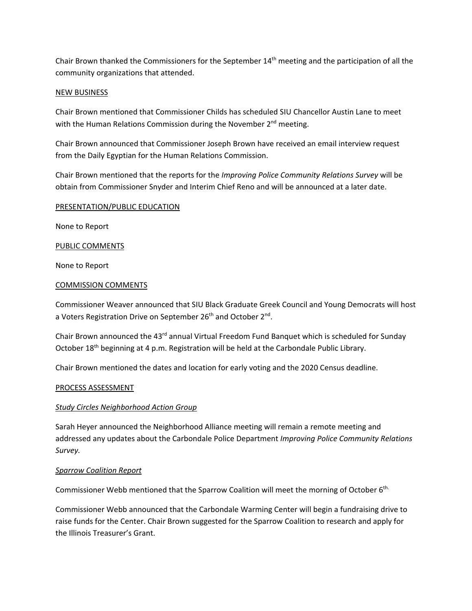Chair Brown thanked the Commissioners for the September  $14<sup>th</sup>$  meeting and the participation of all the community organizations that attended.

# NEW BUSINESS

Chair Brown mentioned that Commissioner Childs has scheduled SIU Chancellor Austin Lane to meet with the Human Relations Commission during the November  $2<sup>nd</sup>$  meeting.

Chair Brown announced that Commissioner Joseph Brown have received an email interview request from the Daily Egyptian for the Human Relations Commission.

Chair Brown mentioned that the reports for the *Improving Police Community Relations Survey* will be obtain from Commissioner Snyder and Interim Chief Reno and will be announced at a later date.

# PRESENTATION/PUBLIC EDUCATION

None to Report

# PUBLIC COMMENTS

None to Report

#### COMMISSION COMMENTS

Commissioner Weaver announced that SIU Black Graduate Greek Council and Young Democrats will host a Voters Registration Drive on September 26<sup>th</sup> and October 2<sup>nd</sup>.

Chair Brown announced the 43 $<sup>rd</sup>$  annual Virtual Freedom Fund Banquet which is scheduled for Sunday</sup> October 18th beginning at 4 p.m. Registration will be held at the Carbondale Public Library.

Chair Brown mentioned the dates and location for early voting and the 2020 Census deadline.

#### PROCESS ASSESSMENT

# *Study Circles Neighborhood Action Group*

Sarah Heyer announced the Neighborhood Alliance meeting will remain a remote meeting and addressed any updates about the Carbondale Police Department *Improving Police Community Relations Survey.*

#### *Sparrow Coalition Report*

Commissioner Webb mentioned that the Sparrow Coalition will meet the morning of October 6th.

Commissioner Webb announced that the Carbondale Warming Center will begin a fundraising drive to raise funds for the Center. Chair Brown suggested for the Sparrow Coalition to research and apply for the Illinois Treasurer's Grant.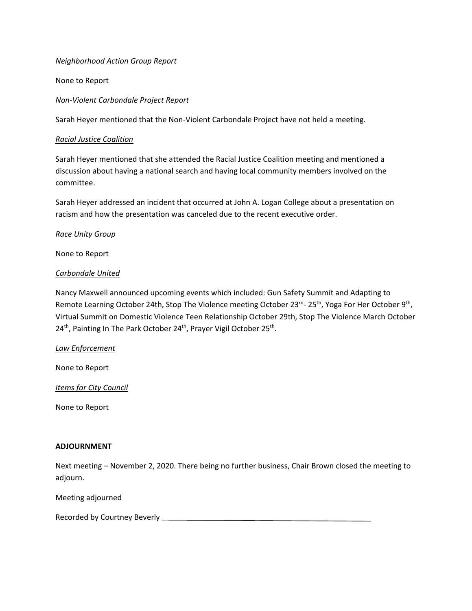# *Neighborhood Action Group Report*

None to Report

# *Non‐Violent Carbondale Project Report*

Sarah Heyer mentioned that the Non‐Violent Carbondale Project have not held a meeting.

#### *Racial Justice Coalition*

Sarah Heyer mentioned that she attended the Racial Justice Coalition meeting and mentioned a discussion about having a national search and having local community members involved on the committee.

Sarah Heyer addressed an incident that occurred at John A. Logan College about a presentation on racism and how the presentation was canceled due to the recent executive order.

# *Race Unity Group*

None to Report

# *Carbondale United*

Nancy Maxwell announced upcoming events which included: Gun Safety Summit and Adapting to Remote Learning October 24th, Stop The Violence meeting October 23rd-25<sup>th</sup>, Yoga For Her October 9<sup>th</sup>, Virtual Summit on Domestic Violence Teen Relationship October 29th, Stop The Violence March October 24<sup>th</sup>, Painting In The Park October 24<sup>th</sup>, Prayer Vigil October 25<sup>th</sup>.

#### *Law Enforcement*

None to Report

*Items for City Council* 

None to Report

#### **ADJOURNMENT**

Next meeting – November 2, 2020. There being no further business, Chair Brown closed the meeting to adjourn.

Meeting adjourned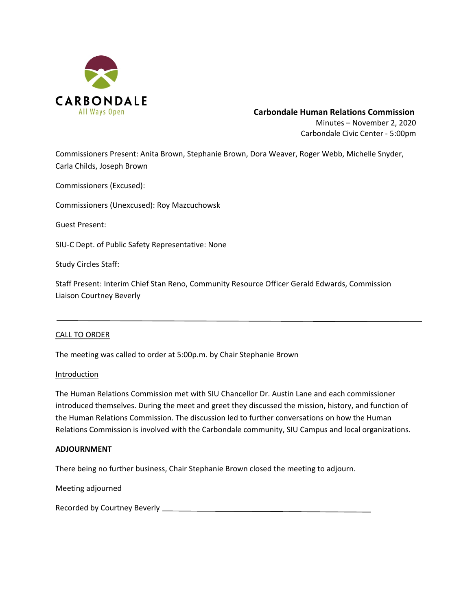

# **Carbondale Human Relations Commission**

Minutes – November 2, 2020 Carbondale Civic Center ‐ 5:00pm

Commissioners Present: Anita Brown, Stephanie Brown, Dora Weaver, Roger Webb, Michelle Snyder, Carla Childs, Joseph Brown

Commissioners (Excused):

Commissioners (Unexcused): Roy Mazcuchowsk

Guest Present:

SIU‐C Dept. of Public Safety Representative: None

Study Circles Staff:

Staff Present: Interim Chief Stan Reno, Community Resource Officer Gerald Edwards, Commission Liaison Courtney Beverly

#### CALL TO ORDER

The meeting was called to order at 5:00p.m. by Chair Stephanie Brown

#### Introduction

The Human Relations Commission met with SIU Chancellor Dr. Austin Lane and each commissioner introduced themselves. During the meet and greet they discussed the mission, history, and function of the Human Relations Commission. The discussion led to further conversations on how the Human Relations Commission is involved with the Carbondale community, SIU Campus and local organizations.

#### **ADJOURNMENT**

There being no further business, Chair Stephanie Brown closed the meeting to adjourn.

Meeting adjourned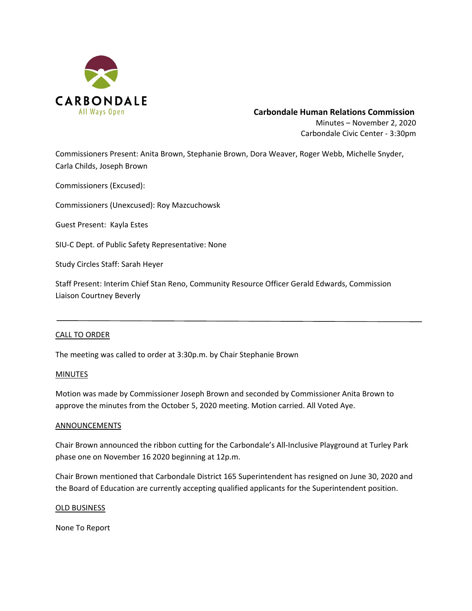

# **Carbondale Human Relations Commission**

Minutes – November 2, 2020 Carbondale Civic Center ‐ 3:30pm

Commissioners Present: Anita Brown, Stephanie Brown, Dora Weaver, Roger Webb, Michelle Snyder, Carla Childs, Joseph Brown

Commissioners (Excused):

Commissioners (Unexcused): Roy Mazcuchowsk

Guest Present: Kayla Estes

SIU‐C Dept. of Public Safety Representative: None

Study Circles Staff: Sarah Heyer

Staff Present: Interim Chief Stan Reno, Community Resource Officer Gerald Edwards, Commission Liaison Courtney Beverly

#### CALL TO ORDER

The meeting was called to order at 3:30p.m. by Chair Stephanie Brown

#### MINUTES

Motion was made by Commissioner Joseph Brown and seconded by Commissioner Anita Brown to approve the minutes from the October 5, 2020 meeting. Motion carried. All Voted Aye.

#### **ANNOUNCEMENTS**

Chair Brown announced the ribbon cutting for the Carbondale's All‐Inclusive Playground at Turley Park phase one on November 16 2020 beginning at 12p.m.

Chair Brown mentioned that Carbondale District 165 Superintendent has resigned on June 30, 2020 and the Board of Education are currently accepting qualified applicants for the Superintendent position.

#### OLD BUSINESS

None To Report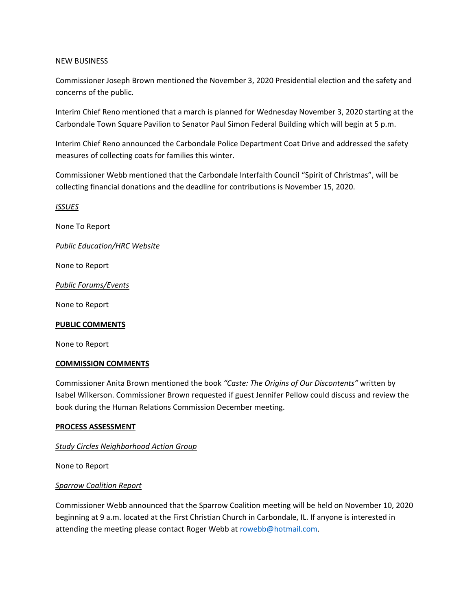# NEW BUSINESS

Commissioner Joseph Brown mentioned the November 3, 2020 Presidential election and the safety and concerns of the public.

Interim Chief Reno mentioned that a march is planned for Wednesday November 3, 2020 starting at the Carbondale Town Square Pavilion to Senator Paul Simon Federal Building which will begin at 5 p.m.

Interim Chief Reno announced the Carbondale Police Department Coat Drive and addressed the safety measures of collecting coats for families this winter.

Commissioner Webb mentioned that the Carbondale Interfaith Council "Spirit of Christmas", will be collecting financial donations and the deadline for contributions is November 15, 2020.

*ISSUES* 

None To Report

*Public Education/HRC Website* 

None to Report

*Public Forums/Events* 

None to Report

#### **PUBLIC COMMENTS**

None to Report

#### **COMMISSION COMMENTS**

Commissioner Anita Brown mentioned the book *"Caste: The Origins of Our Discontents"* written by Isabel Wilkerson. Commissioner Brown requested if guest Jennifer Pellow could discuss and review the book during the Human Relations Commission December meeting.

#### **PROCESS ASSESSMENT**

# *Study Circles Neighborhood Action Group*

None to Report

#### *Sparrow Coalition Report*

Commissioner Webb announced that the Sparrow Coalition meeting will be held on November 10, 2020 beginning at 9 a.m. located at the First Christian Church in Carbondale, IL. If anyone is interested in attending the meeting please contact Roger Webb at rowebb@hotmail.com.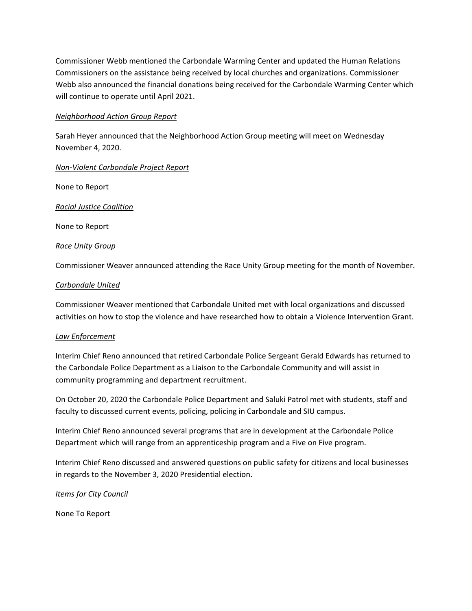Commissioner Webb mentioned the Carbondale Warming Center and updated the Human Relations Commissioners on the assistance being received by local churches and organizations. Commissioner Webb also announced the financial donations being received for the Carbondale Warming Center which will continue to operate until April 2021.

# *Neighborhood Action Group Report*

Sarah Heyer announced that the Neighborhood Action Group meeting will meet on Wednesday November 4, 2020.

# *Non‐Violent Carbondale Project Report*

None to Report

*Racial Justice Coalition*

None to Report

# *Race Unity Group*

Commissioner Weaver announced attending the Race Unity Group meeting for the month of November.

# *Carbondale United*

Commissioner Weaver mentioned that Carbondale United met with local organizations and discussed activities on how to stop the violence and have researched how to obtain a Violence Intervention Grant.

# *Law Enforcement*

Interim Chief Reno announced that retired Carbondale Police Sergeant Gerald Edwards has returned to the Carbondale Police Department as a Liaison to the Carbondale Community and will assist in community programming and department recruitment.

On October 20, 2020 the Carbondale Police Department and Saluki Patrol met with students, staff and faculty to discussed current events, policing, policing in Carbondale and SIU campus.

Interim Chief Reno announced several programs that are in development at the Carbondale Police Department which will range from an apprenticeship program and a Five on Five program.

Interim Chief Reno discussed and answered questions on public safety for citizens and local businesses in regards to the November 3, 2020 Presidential election.

# *Items for City Council*

None To Report